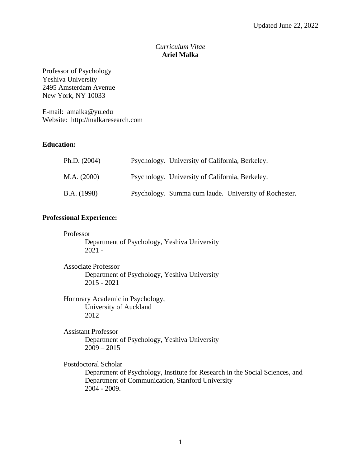# *Curriculum Vitae* **Ariel Malka**

Professor of Psychology Yeshiva University 2495 Amsterdam Avenue New York, NY 10033

E-mail: amalka@yu.edu Website: http://malkaresearch.com

# **Education:**

| Ph.D. (2004) | Psychology. University of California, Berkeley.       |
|--------------|-------------------------------------------------------|
| M.A. (2000)  | Psychology. University of California, Berkeley.       |
| B.A. (1998)  | Psychology. Summa cum laude. University of Rochester. |

# **Professional Experience:**

#### Professor

Department of Psychology, Yeshiva University 2021 -

Associate Professor Department of Psychology, Yeshiva University 2015 - 2021

Honorary Academic in Psychology, University of Auckland 2012

Assistant Professor Department of Psychology, Yeshiva University  $2009 - 2015$ 

Postdoctoral Scholar

Department of Psychology, Institute for Research in the Social Sciences, and Department of Communication, Stanford University 2004 - 2009.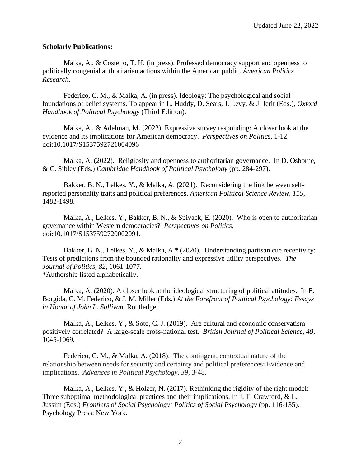### **Scholarly Publications:**

Malka, A., & Costello, T. H. (in press). Professed democracy support and openness to politically congenial authoritarian actions within the American public. *American Politics Research.*

Federico, C. M., & Malka, A. (in press). Ideology: The psychological and social foundations of belief systems. To appear in L. Huddy, D. Sears, J. Levy, & J. Jerit (Eds.), *Oxford Handbook of Political Psychology* (Third Edition).

Malka, A., & Adelman, M. (2022). Expressive survey responding: A closer look at the evidence and its implications for American democracy. *Perspectives on Politics*, 1-12. doi:10.1017/S1537592721004096

Malka, A. (2022). Religiosity and openness to authoritarian governance. In D. Osborne, & C. Sibley (Eds.) *Cambridge Handbook of Political Psychology* (pp. 284-297).

Bakker, B. N., Lelkes, Y., & Malka, A. (2021). Reconsidering the link between selfreported personality traits and political preferences. *American Political Science Review, 115*, 1482-1498.

Malka, A., Lelkes, Y., Bakker, B. N., & Spivack, E. (2020). Who is open to authoritarian governance within Western democracies? *Perspectives on Politics*, doi:10.1017/S1537592720002091.

Bakker, B. N., Lelkes, Y., & Malka, A.\* (2020). Understanding partisan cue receptivity: Tests of predictions from the bounded rationality and expressive utility perspectives. *The Journal of Politics, 82,* 1061-1077. \*Authorship listed alphabetically.

Malka, A. (2020). A closer look at the ideological structuring of political attitudes. In E. Borgida, C. M. Federico, & J. M. Miller (Eds.) *At the Forefront of Political Psychology: Essays in Honor of John L. Sullivan*. Routledge.

Malka, A., Lelkes, Y., & Soto, C. J. (2019). Are cultural and economic conservatism positively correlated? A large-scale cross-national test. *British Journal of Political Science, 49*, 1045-1069*.*

Federico, C. M., & Malka, A. (2018). The contingent, contextual nature of the relationship between needs for security and certainty and political preferences: Evidence and implications. *Advances in Political Psychology, 39*, 3-48.

Malka, A., Lelkes, Y., & Holzer, N.  $(2017)$ . Rethinking the rigidity of the right model: Three suboptimal methodological practices and their implications. In J. T. Crawford, & L. Jussim (Eds.) *Frontiers of Social Psychology: Politics of Social Psychology* (pp. 116-135). Psychology Press: New York.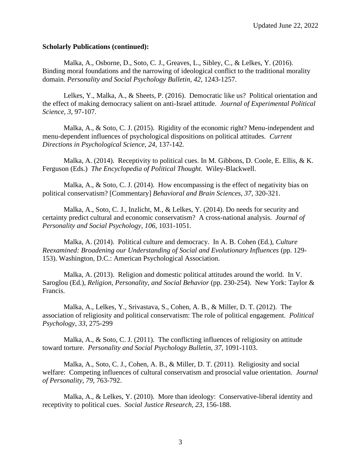### **Scholarly Publications (continued):**

Malka, A., Osborne, D., Soto, C. J., Greaves, L., Sibley, C., & Lelkes, Y. (2016). Binding moral foundations and the narrowing of ideological conflict to the traditional morality domain. Personality and Social Psychology Bulletin, 42, 1243-1257.

Lelkes, Y., Malka, A., & Sheets, P. (2016). Democratic like us? Political orientation and the effect of making democracy salient on anti-Israel attitude. *Journal of Experimental Political Science, 3*, 97-107.

Malka, A., & Soto, C. J. (2015). Rigidity of the economic right? Menu-independent and menu-dependent influences of psychological dispositions on political attitudes. *Current Directions in Psychological Science, 24*, 137-142*.*

Malka, A. (2014). Receptivity to political cues. In M. Gibbons, D. Coole, E. Ellis, & K. Ferguson (Eds.) *The Encyclopedia of Political Thought.* Wiley-Blackwell.

Malka, A., & Soto, C. J. (2014). How encompassing is the effect of negativity bias on political conservatism? [Commentary] *Behavioral and Brain Sciences, 37,* 320-321.

Malka, A., Soto, C. J., Inzlicht, M., & Lelkes, Y. (2014). Do needs for security and certainty predict cultural and economic conservatism? A cross-national analysis. *Journal of Personality and Social Psychology, 106,* 1031-1051.

Malka, A. (2014). Political culture and democracy. In A. B. Cohen (Ed.), *Culture Reexamined: Broadening our Understanding of Social and Evolutionary Influences* (pp. 129- 153). Washington, D.C.: American Psychological Association.

Malka, A. (2013). Religion and domestic political attitudes around the world. In V. Saroglou (Ed.), *Religion, Personality, and Social Behavior* (pp. 230-254). New York: Taylor & Francis.

Malka, A., Lelkes, Y., Srivastava, S., Cohen, A. B., & Miller, D. T. (2012). The association of religiosity and political conservatism: The role of political engagement. *Political Psychology, 33*, 275-299

Malka, A., & Soto, C. J. (2011). The conflicting influences of religiosity on attitude toward torture. *Personality and Social Psychology Bulletin, 37,* 1091-1103.

Malka, A., Soto, C. J., Cohen, A. B., & Miller, D. T. (2011). Religiosity and social welfare: Competing influences of cultural conservatism and prosocial value orientation. *Journal of Personality, 79,* 763-792.

Malka, A., & Lelkes, Y. (2010). More than ideology: Conservative-liberal identity and receptivity to political cues. *Social Justice Research, 23*, 156-188.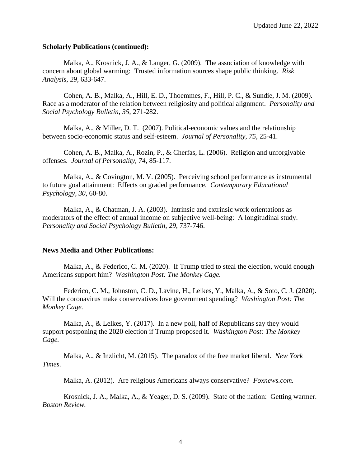### **Scholarly Publications (continued):**

Malka, A., Krosnick, J. A., & Langer, G. (2009). The association of knowledge with concern about global warming: Trusted information sources shape public thinking. *Risk Analysis, 29,* 633-647.

Cohen, A. B., Malka, A., Hill, E. D., Thoemmes, F., Hill, P. C., & Sundie, J. M. (2009). Race as a moderator of the relation between religiosity and political alignment. *Personality and Social Psychology Bulletin, 35,* 271-282.

Malka, A., & Miller, D. T. (2007). Political-economic values and the relationship between socio-economic status and self-esteem. *Journal of Personality, 75*, 25-41.

Cohen, A. B., Malka, A., Rozin, P., & Cherfas, L. (2006). Religion and unforgivable offenses. *Journal of Personality, 74*, 85-117.

Malka, A., & Covington, M. V. (2005). Perceiving school performance as instrumental to future goal attainment: Effects on graded performance. *Contemporary Educational Psychology, 30*, 60-80.

Malka, A., & Chatman, J. A. (2003). Intrinsic and extrinsic work orientations as moderators of the effect of annual income on subjective well-being: A longitudinal study. *Personality and Social Psychology Bulletin, 29*, 737-746.

## **News Media and Other Publications:**

Malka, A., & Federico, C. M. (2020). If Trump tried to steal the election, would enough Americans support him? *Washington Post: The Monkey Cage.* 

Federico, C. M., Johnston, C. D., Lavine, H., Lelkes, Y., Malka, A., & Soto, C. J. (2020). Will the coronavirus make conservatives love government spending? *Washington Post: The Monkey Cage.* 

Malka, A., & Lelkes, Y. (2017). In a new poll, half of Republicans say they would support postponing the 2020 election if Trump proposed it. *Washington Post: The Monkey Cage.* 

Malka, A., & Inzlicht, M. (2015). The paradox of the free market liberal. *New York Times*.

Malka, A. (2012). Are religious Americans always conservative? *Foxnews.com.*

Krosnick, J. A., Malka, A., & Yeager, D. S. (2009). State of the nation: Getting warmer. *Boston Review.*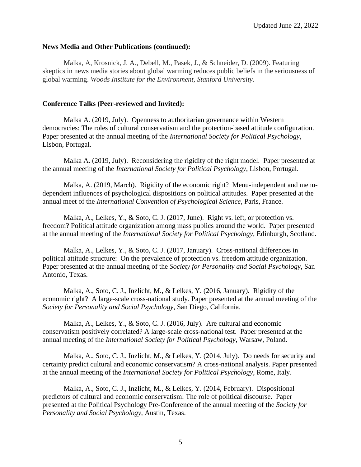#### **News Media and Other Publications (continued):**

Malka, A, Krosnick, J. A., Debell, M., Pasek, J., & Schneider, D. (2009). Featuring skeptics in news media stories about global warming reduces public beliefs in the seriousness of global warming. *Woods Institute for the Environment, Stanford University*.

### **Conference Talks (Peer-reviewed and Invited):**

Malka A. (2019, July). Openness to authoritarian governance within Western democracies: The roles of cultural conservatism and the protection-based attitude configuration. Paper presented at the annual meeting of the *International Society for Political Psychology*, Lisbon, Portugal.

Malka A. (2019, July). Reconsidering the rigidity of the right model. Paper presented at the annual meeting of the *International Society for Political Psychology*, Lisbon, Portugal.

Malka, A. (2019, March). Rigidity of the economic right? Menu-independent and menudependent influences of psychological dispositions on political attitudes. Paper presented at the annual meet of the *International Convention of Psychological Science*, Paris, France.

Malka, A., Lelkes, Y., & Soto, C. J. (2017, June). Right vs. left, or protection vs. freedom? Political attitude organization among mass publics around the world. Paper presented at the annual meeting of the *International Society for Political Psychology*, Edinburgh, Scotland.

Malka, A., Lelkes, Y., & Soto, C. J. (2017, January). Cross-national differences in political attitude structure: On the prevalence of protection vs. freedom attitude organization. Paper presented at the annual meeting of the *Society for Personality and Social Psychology*, San Antonio, Texas.

Malka, A., Soto, C. J., Inzlicht, M., & Lelkes, Y. (2016, January). Rigidity of the economic right? A large-scale cross-national study. Paper presented at the annual meeting of the *Society for Personality and Social Psychology*, San Diego, California.

Malka, A., Lelkes, Y., & Soto, C. J. (2016, July). Are cultural and economic conservatism positively correlated? A large-scale cross-national test. Paper presented at the annual meeting of the *International Society for Political Psychology*, Warsaw, Poland.

Malka, A., Soto, C. J., Inzlicht, M., & Lelkes, Y. (2014, July). Do needs for security and certainty predict cultural and economic conservatism? A cross-national analysis. Paper presented at the annual meeting of the *International Society for Political Psychology*, Rome, Italy.

Malka, A., Soto, C. J., Inzlicht, M., & Lelkes, Y. (2014, February). Dispositional predictors of cultural and economic conservatism: The role of political discourse. Paper presented at the Political Psychology Pre-Conference of the annual meeting of the *Society for Personality and Social Psychology*, Austin, Texas.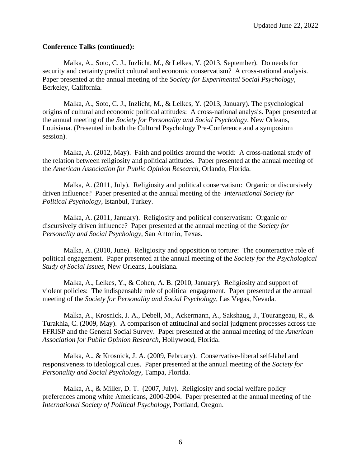### **Conference Talks (continued):**

Malka, A., Soto, C. J., Inzlicht, M., & Lelkes, Y. (2013, September). Do needs for security and certainty predict cultural and economic conservatism? A cross-national analysis. Paper presented at the annual meeting of the *Society for Experimental Social Psychology*, Berkeley, California.

Malka, A., Soto, C. J., Inzlicht, M., & Lelkes, Y. (2013, January). The psychological origins of cultural and economic political attitudes: A cross-national analysis. Paper presented at the annual meeting of the *Society for Personality and Social Psychology*, New Orleans, Louisiana. (Presented in both the Cultural Psychology Pre-Conference and a symposium session).

Malka, A. (2012, May). Faith and politics around the world: A cross-national study of the relation between religiosity and political attitudes. Paper presented at the annual meeting of the *American Association for Public Opinion Research,* Orlando, Florida.

Malka, A. (2011, July). Religiosity and political conservatism: Organic or discursively driven influence? Paper presented at the annual meeting of the *International Society for Political Psychology*, Istanbul, Turkey.

Malka, A. (2011, January). Religiosity and political conservatism: Organic or discursively driven influence? Paper presented at the annual meeting of the *Society for Personality and Social Psychology*, San Antonio, Texas.

Malka, A. (2010, June). Religiosity and opposition to torture: The counteractive role of political engagement. Paper presented at the annual meeting of the *Society for the Psychological Study of Social Issues,* New Orleans, Louisiana.

Malka, A., Lelkes, Y., & Cohen, A. B. (2010, January). Religiosity and support of violent policies: The indispensable role of political engagement. Paper presented at the annual meeting of the *Society for Personality and Social Psychology*, Las Vegas, Nevada.

Malka, A., Krosnick, J. A., Debell, M., Ackermann, A., Sakshaug, J., Tourangeau, R., & Turakhia, C. (2009, May). A comparison of attitudinal and social judgment processes across the FFRISP and the General Social Survey. Paper presented at the annual meeting of the *American Association for Public Opinion Research*, Hollywood, Florida.

Malka, A., & Krosnick, J. A. (2009, February). Conservative-liberal self-label and responsiveness to ideological cues. Paper presented at the annual meeting of the *Society for Personality and Social Psychology*, Tampa, Florida.

Malka, A., & Miller, D. T. (2007, July). Religiosity and social welfare policy preferences among white Americans, 2000-2004. Paper presented at the annual meeting of the *International Society of Political Psychology*, Portland, Oregon.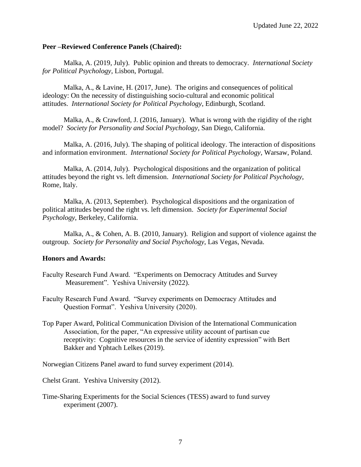## **Peer –Reviewed Conference Panels (Chaired):**

Malka, A. (2019, July). Public opinion and threats to democracy. *International Society for Political Psychology*, Lisbon, Portugal.

Malka, A., & Lavine, H. (2017, June). The origins and consequences of political ideology: On the necessity of distinguishing socio-cultural and economic political attitudes. *International Society for Political Psychology*, Edinburgh, Scotland.

Malka, A.,  $\&$  Crawford, J. (2016, January). What is wrong with the rigidity of the right model? *Society for Personality and Social Psychology*, San Diego, California.

Malka, A. (2016, July). The shaping of political ideology. The interaction of dispositions and information environment. *International Society for Political Psychology*, Warsaw, Poland.

Malka, A. (2014, July). Psychological dispositions and the organization of political attitudes beyond the right vs. left dimension. *International Society for Political Psychology*, Rome, Italy.

Malka, A. (2013, September). Psychological dispositions and the organization of political attitudes beyond the right vs. left dimension. *Society for Experimental Social Psychology*, Berkeley, California.

Malka, A., & Cohen, A. B. (2010, January). Religion and support of violence against the outgroup. *Society for Personality and Social Psychology*, Las Vegas, Nevada.

## **Honors and Awards:**

- Faculty Research Fund Award. "Experiments on Democracy Attitudes and Survey Measurement". Yeshiva University (2022).
- Faculty Research Fund Award. "Survey experiments on Democracy Attitudes and Question Format". Yeshiva University (2020).
- Top Paper Award, Political Communication Division of the International Communication Association, for the paper, "An expressive utility account of partisan cue receptivity: Cognitive resources in the service of identity expression" with Bert Bakker and Yphtach Lelkes (2019).

Norwegian Citizens Panel award to fund survey experiment (2014).

Chelst Grant. Yeshiva University (2012).

Time-Sharing Experiments for the Social Sciences (TESS) award to fund survey experiment (2007).